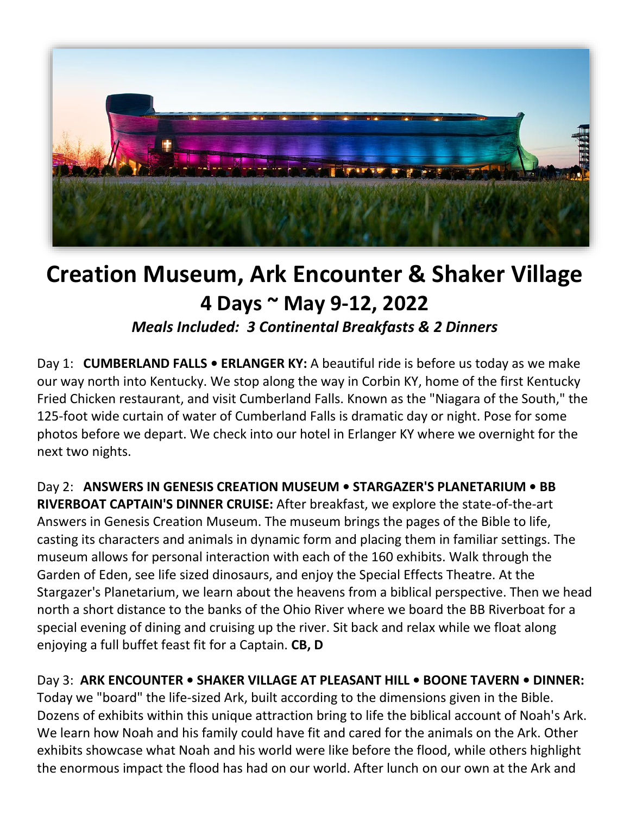

## **Creation Museum, Ark Encounter & Shaker Village 4 Days ~ May 9-12, 2022**

*Meals Included: 3 Continental Breakfasts & 2 Dinners*

Day 1: **CUMBERLAND FALLS • ERLANGER KY:** A beautiful ride is before us today as we make our way north into Kentucky. We stop along the way in Corbin KY, home of the first Kentucky Fried Chicken restaurant, and visit Cumberland Falls. Known as the "Niagara of the South," the 125-foot wide curtain of water of Cumberland Falls is dramatic day or night. Pose for some photos before we depart. We check into our hotel in Erlanger KY where we overnight for the next two nights.

Day 2: **ANSWERS IN GENESIS CREATION MUSEUM • STARGAZER'S PLANETARIUM • BB RIVERBOAT CAPTAIN'S DINNER CRUISE:** After breakfast, we explore the state-of-the-art Answers in Genesis Creation Museum. The museum brings the pages of the Bible to life, casting its characters and animals in dynamic form and placing them in familiar settings. The museum allows for personal interaction with each of the 160 exhibits. Walk through the Garden of Eden, see life sized dinosaurs, and enjoy the Special Effects Theatre. At the Stargazer's Planetarium, we learn about the heavens from a biblical perspective. Then we head north a short distance to the banks of the Ohio River where we board the BB Riverboat for a special evening of dining and cruising up the river. Sit back and relax while we float along enjoying a full buffet feast fit for a Captain. **CB, D**

Day 3: ARK ENCOUNTER • SHAKER VILLAGE AT PLEASANT HILL • BOONE TAVERN • DINNER: Today we "board" the life-sized Ark, built according to the dimensions given in the Bible. Dozens of exhibits within this unique attraction bring to life the biblical account of Noah's Ark. We learn how Noah and his family could have fit and cared for the animals on the Ark. Other exhibits showcase what Noah and his world were like before the flood, while others highlight the enormous impact the flood has had on our world. After lunch on our own at the Ark and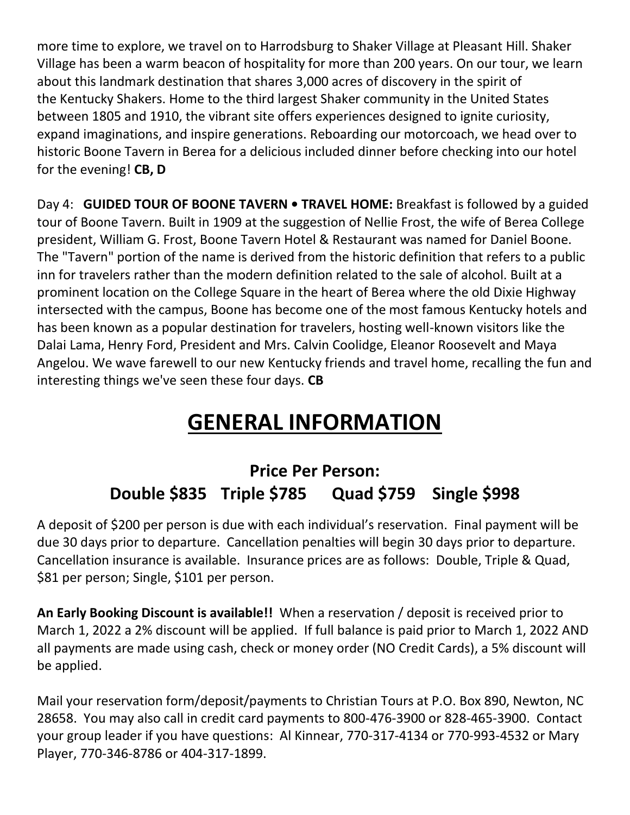more time to explore, we travel on to Harrodsburg to Shaker Village at Pleasant Hill. Shaker Village has been a warm beacon of hospitality for more than 200 years. On our tour, we learn about this landmark destination that shares 3,000 acres of discovery in the spirit of the Kentucky Shakers. Home to the third largest Shaker community in the United States between 1805 and 1910, the vibrant site offers experiences designed to ignite curiosity, expand imaginations, and inspire generations. Reboarding our motorcoach, we head over to historic Boone Tavern in Berea for a delicious included dinner before checking into our hotel for the evening! **CB, D** 

Day 4: **GUIDED TOUR OF BOONE TAVERN • TRAVEL HOME:** Breakfast is followed by a guided tour of Boone Tavern. Built in 1909 at the suggestion of Nellie Frost, the wife of Berea College president, William G. Frost, Boone Tavern Hotel & Restaurant was named for Daniel Boone. The "Tavern" portion of the name is derived from the historic definition that refers to a public inn for travelers rather than the modern definition related to the sale of alcohol. Built at a prominent location on the College Square in the heart of Berea where the old Dixie Highway intersected with the campus, Boone has become one of the most famous Kentucky hotels and has been known as a popular destination for travelers, hosting well-known visitors like the Dalai Lama, Henry Ford, President and Mrs. Calvin Coolidge, Eleanor Roosevelt and Maya Angelou. We wave farewell to our new Kentucky friends and travel home, recalling the fun and interesting things we've seen these four days. **CB** 

## **GENERAL INFORMATION**

## **Price Per Person: Double \$835 Triple \$785 Quad \$759 Single \$998**

A deposit of \$200 per person is due with each individual's reservation. Final payment will be due 30 days prior to departure. Cancellation penalties will begin 30 days prior to departure. Cancellation insurance is available. Insurance prices are as follows: Double, Triple & Quad, \$81 per person; Single, \$101 per person.

**An Early Booking Discount is available!!** When a reservation / deposit is received prior to March 1, 2022 a 2% discount will be applied. If full balance is paid prior to March 1, 2022 AND all payments are made using cash, check or money order (NO Credit Cards), a 5% discount will be applied.

Mail your reservation form/deposit/payments to Christian Tours at P.O. Box 890, Newton, NC 28658. You may also call in credit card payments to 800-476-3900 or 828-465-3900. Contact your group leader if you have questions: Al Kinnear, 770-317-4134 or 770-993-4532 or Mary Player, 770-346-8786 or 404-317-1899.